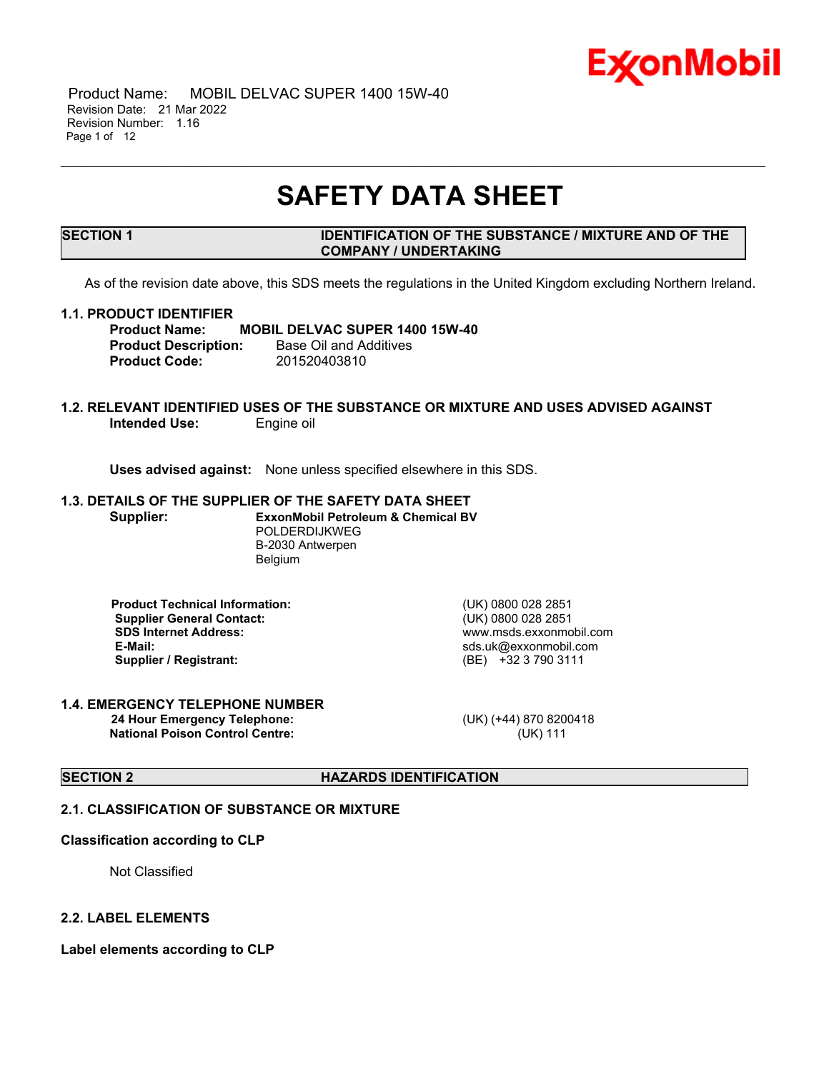

 Product Name: MOBIL DELVAC SUPER 1400 15W-40 Revision Date: 21 Mar 2022 Revision Number: 1.16 Page 1 of 12

# **SAFETY DATA SHEET**

\_\_\_\_\_\_\_\_\_\_\_\_\_\_\_\_\_\_\_\_\_\_\_\_\_\_\_\_\_\_\_\_\_\_\_\_\_\_\_\_\_\_\_\_\_\_\_\_\_\_\_\_\_\_\_\_\_\_\_\_\_\_\_\_\_\_\_\_\_\_\_\_\_\_\_\_\_\_\_\_\_\_\_\_\_\_\_\_\_\_\_\_\_\_\_\_\_\_\_\_\_\_\_\_\_\_\_\_\_\_\_\_\_\_\_\_\_

# **SECTION 1 IDENTIFICATION OF THE SUBSTANCE / MIXTURE AND OF THE COMPANY / UNDERTAKING**

As of the revision date above, this SDS meets the regulations in the United Kingdom excluding Northern Ireland.

#### **1.1. PRODUCT IDENTIFIER**

**Product Name: MOBIL DELVAC SUPER 1400 15W-40 Product Description:** Base Oil and Additives **Product Code:** 201520403810

#### **1.2. RELEVANT IDENTIFIED USES OF THE SUBSTANCE OR MIXTURE AND USES ADVISED AGAINST Intended Use:** Engine oil

**Uses advised against:** None unless specified elsewhere in this SDS.

# **1.3. DETAILS OF THE SUPPLIER OF THE SAFETY DATA SHEET**

**Supplier: ExxonMobil Petroleum & Chemical BV** POLDERDIJKWEG B-2030 Antwerpen Belgium

**Product Technical Information:** (UK) 0800 028 2851 **Supplier General Contact:** (UK) 0800 028 2851 **SDS Internet Address:** www.msds.exxonmobil.com **Supplier / Registrant:** (BE) +32 3 790 3111

**E-Mail:** sds.uk@exxonmobil.com

#### **1.4. EMERGENCY TELEPHONE NUMBER 24 Hour Emergency Telephone:** (UK) (+44) 870 8200418 **National Poison Control Centre:** (UK) 111

# **SECTION 2 HAZARDS IDENTIFICATION**

#### **2.1. CLASSIFICATION OF SUBSTANCE OR MIXTURE**

#### **Classification according to CLP**

Not Classified

#### **2.2. LABEL ELEMENTS**

**Label elements according to CLP**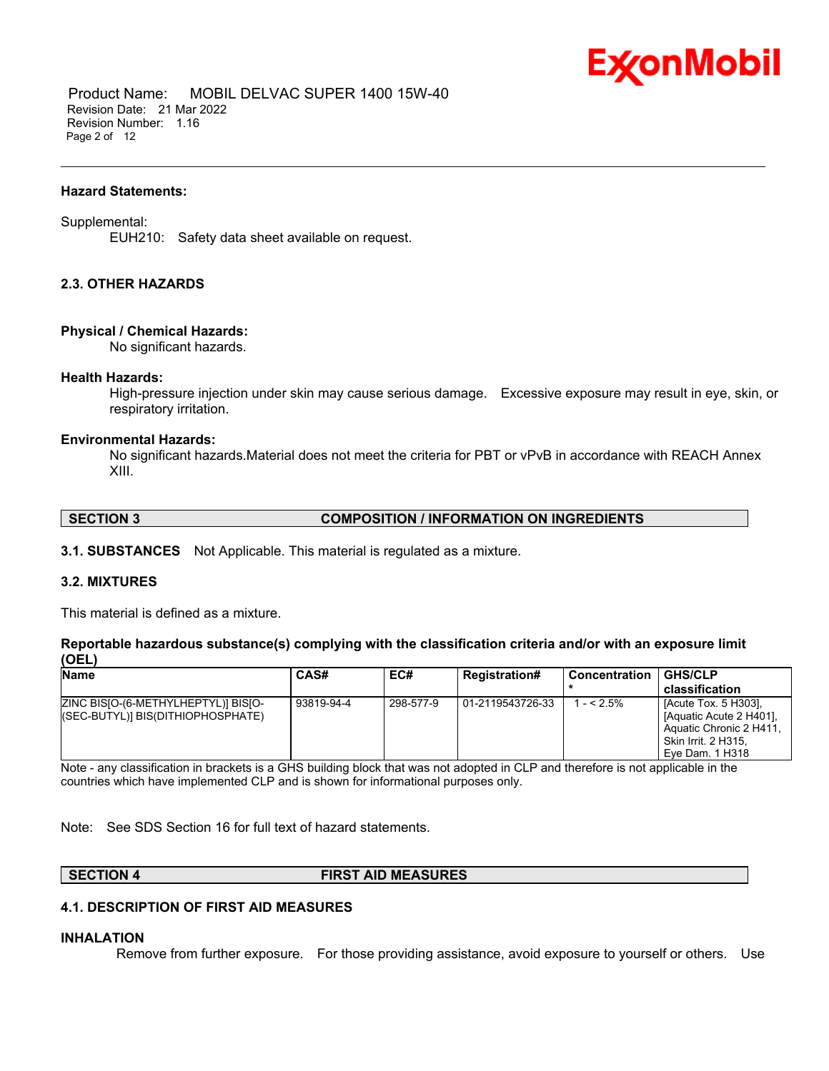

 Product Name: MOBIL DELVAC SUPER 1400 15W-40 Revision Date: 21 Mar 2022 Revision Number: 1.16 Page 2 of 12

#### **Hazard Statements:**

#### Supplemental:

EUH210: Safety data sheet available on request.

# **2.3. OTHER HAZARDS**

#### **Physical / Chemical Hazards:**

No significant hazards.

#### **Health Hazards:**

High-pressure injection under skin may cause serious damage. Excessive exposure may result in eye, skin, or respiratory irritation.

\_\_\_\_\_\_\_\_\_\_\_\_\_\_\_\_\_\_\_\_\_\_\_\_\_\_\_\_\_\_\_\_\_\_\_\_\_\_\_\_\_\_\_\_\_\_\_\_\_\_\_\_\_\_\_\_\_\_\_\_\_\_\_\_\_\_\_\_\_\_\_\_\_\_\_\_\_\_\_\_\_\_\_\_\_\_\_\_\_\_\_\_\_\_\_\_\_\_\_\_\_\_\_\_\_\_\_\_\_\_\_\_\_\_\_\_\_

#### **Environmental Hazards:**

No significant hazards.Material does not meet the criteria for PBT or vPvB in accordance with REACH Annex XIII.

# **SECTION 3 COMPOSITION / INFORMATION ON INGREDIENTS**

**3.1. SUBSTANCES** Not Applicable. This material is regulated as a mixture.

# **3.2. MIXTURES**

This material is defined as a mixture.

**Reportable hazardous substance(s) complying with the classification criteria and/or with an exposure limit (OEL)**

| <b>Name</b>                                                              | CAS#       | EC#       | <b>Registration#</b> | l Concentration | <b>GHS/CLP</b>                                                                                                       |
|--------------------------------------------------------------------------|------------|-----------|----------------------|-----------------|----------------------------------------------------------------------------------------------------------------------|
|                                                                          |            |           |                      |                 | classification                                                                                                       |
| ZINC BISIO-(6-METHYLHEPTYL)] BISIO-<br>(SEC-BUTYL)] BIS(DITHIOPHOSPHATE) | 93819-94-4 | 298-577-9 | 01-2119543726-33     | $- < 2.5\%$     | [Acute Tox. 5 H303].<br>[Aquatic Acute 2 H401].<br>Aquatic Chronic 2 H411.<br>Skin Irrit. 2 H315.<br>Eye Dam. 1 H318 |

Note - any classification in brackets is a GHS building block that was not adopted in CLP and therefore is not applicable in the countries which have implemented CLP and is shown for informational purposes only.

Note: See SDS Section 16 for full text of hazard statements.

#### **SECTION 4 FIRST AID MEASURES**

# **4.1. DESCRIPTION OF FIRST AID MEASURES**

#### **INHALATION**

Remove from further exposure. For those providing assistance, avoid exposure to yourself or others. Use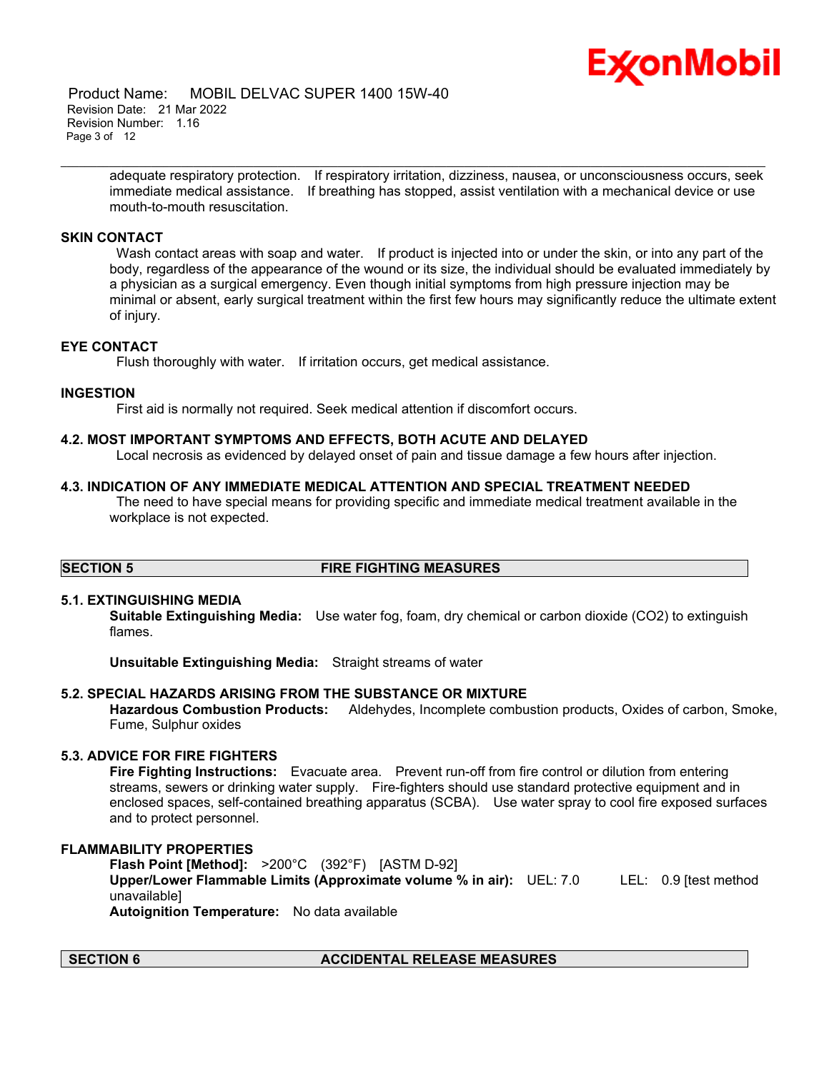

 Product Name: MOBIL DELVAC SUPER 1400 15W-40 Revision Date: 21 Mar 2022 Revision Number: 1.16 Page 3 of 12

> adequate respiratory protection. If respiratory irritation, dizziness, nausea, or unconsciousness occurs, seek immediate medical assistance. If breathing has stopped, assist ventilation with a mechanical device or use mouth-to-mouth resuscitation.

\_\_\_\_\_\_\_\_\_\_\_\_\_\_\_\_\_\_\_\_\_\_\_\_\_\_\_\_\_\_\_\_\_\_\_\_\_\_\_\_\_\_\_\_\_\_\_\_\_\_\_\_\_\_\_\_\_\_\_\_\_\_\_\_\_\_\_\_\_\_\_\_\_\_\_\_\_\_\_\_\_\_\_\_\_\_\_\_\_\_\_\_\_\_\_\_\_\_\_\_\_\_\_\_\_\_\_\_\_\_\_\_\_\_\_\_\_

# **SKIN CONTACT**

Wash contact areas with soap and water. If product is injected into or under the skin, or into any part of the body, regardless of the appearance of the wound or its size, the individual should be evaluated immediately by a physician as a surgical emergency. Even though initial symptoms from high pressure injection may be minimal or absent, early surgical treatment within the first few hours may significantly reduce the ultimate extent of injury.

# **EYE CONTACT**

Flush thoroughly with water. If irritation occurs, get medical assistance.

#### **INGESTION**

First aid is normally not required. Seek medical attention if discomfort occurs.

#### **4.2. MOST IMPORTANT SYMPTOMS AND EFFECTS, BOTH ACUTE AND DELAYED**

Local necrosis as evidenced by delayed onset of pain and tissue damage a few hours after injection.

#### **4.3. INDICATION OF ANY IMMEDIATE MEDICAL ATTENTION AND SPECIAL TREATMENT NEEDED**

The need to have special means for providing specific and immediate medical treatment available in the workplace is not expected.

# **SECTION 5 FIRE FIGHTING MEASURES**

# **5.1. EXTINGUISHING MEDIA**

**Suitable Extinguishing Media:** Use water fog, foam, dry chemical or carbon dioxide (CO2) to extinguish flames.

**Unsuitable Extinguishing Media:** Straight streams of water

# **5.2. SPECIAL HAZARDS ARISING FROM THE SUBSTANCE OR MIXTURE**

**Hazardous Combustion Products:** Aldehydes, Incomplete combustion products, Oxides of carbon, Smoke, Fume, Sulphur oxides

# **5.3. ADVICE FOR FIRE FIGHTERS**

**Fire Fighting Instructions:** Evacuate area. Prevent run-off from fire control or dilution from entering streams, sewers or drinking water supply. Fire-fighters should use standard protective equipment and in enclosed spaces, self-contained breathing apparatus (SCBA). Use water spray to cool fire exposed surfaces and to protect personnel.

#### **FLAMMABILITY PROPERTIES**

**Flash Point [Method]:** >200°C (392°F) [ASTM D-92] **Upper/Lower Flammable Limits (Approximate volume % in air):** UEL: 7.0 LEL: 0.9 [test method unavailable] **Autoignition Temperature:** No data available

# **SECTION 6 ACCIDENTAL RELEASE MEASURES**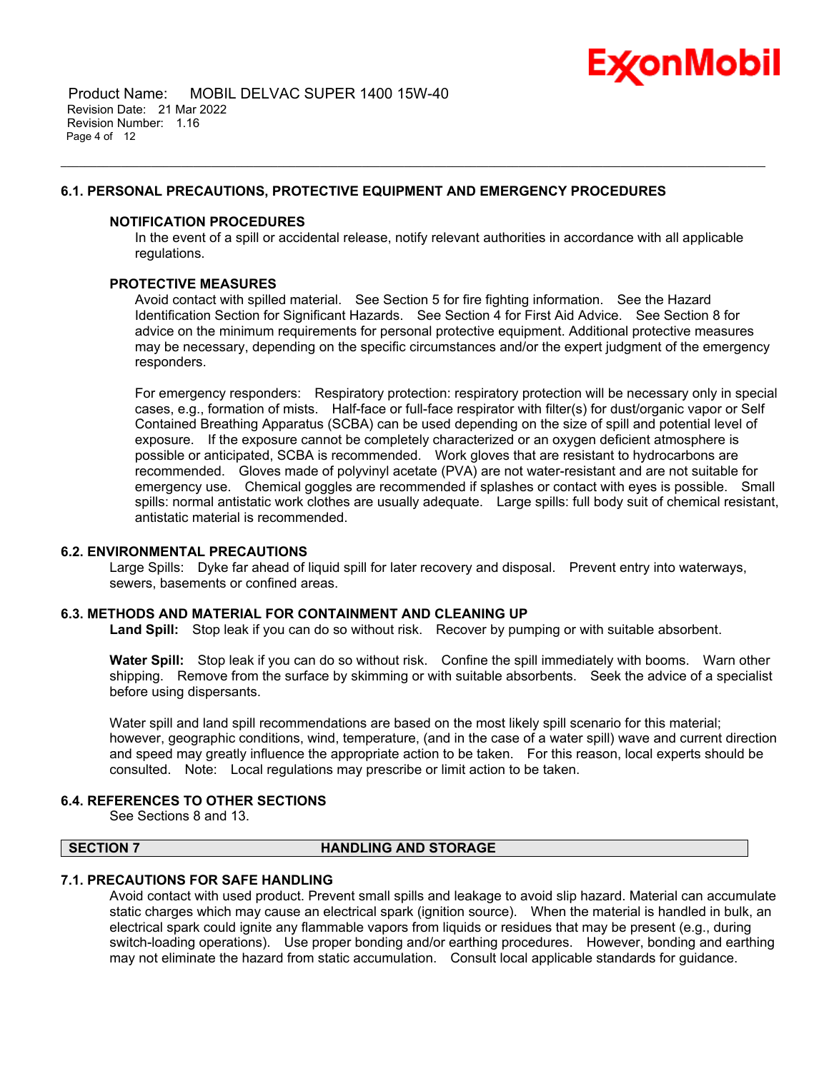

 Product Name: MOBIL DELVAC SUPER 1400 15W-40 Revision Date: 21 Mar 2022 Revision Number: 1.16 Page 4 of 12

# **6.1. PERSONAL PRECAUTIONS, PROTECTIVE EQUIPMENT AND EMERGENCY PROCEDURES**

#### **NOTIFICATION PROCEDURES**

In the event of a spill or accidental release, notify relevant authorities in accordance with all applicable regulations.

\_\_\_\_\_\_\_\_\_\_\_\_\_\_\_\_\_\_\_\_\_\_\_\_\_\_\_\_\_\_\_\_\_\_\_\_\_\_\_\_\_\_\_\_\_\_\_\_\_\_\_\_\_\_\_\_\_\_\_\_\_\_\_\_\_\_\_\_\_\_\_\_\_\_\_\_\_\_\_\_\_\_\_\_\_\_\_\_\_\_\_\_\_\_\_\_\_\_\_\_\_\_\_\_\_\_\_\_\_\_\_\_\_\_\_\_\_

# **PROTECTIVE MEASURES**

Avoid contact with spilled material. See Section 5 for fire fighting information. See the Hazard Identification Section for Significant Hazards. See Section 4 for First Aid Advice. See Section 8 for advice on the minimum requirements for personal protective equipment. Additional protective measures may be necessary, depending on the specific circumstances and/or the expert judgment of the emergency responders.

For emergency responders: Respiratory protection: respiratory protection will be necessary only in special cases, e.g., formation of mists. Half-face or full-face respirator with filter(s) for dust/organic vapor or Self Contained Breathing Apparatus (SCBA) can be used depending on the size of spill and potential level of exposure. If the exposure cannot be completely characterized or an oxygen deficient atmosphere is possible or anticipated, SCBA is recommended. Work gloves that are resistant to hydrocarbons are recommended. Gloves made of polyvinyl acetate (PVA) are not water-resistant and are not suitable for emergency use. Chemical goggles are recommended if splashes or contact with eyes is possible. Small spills: normal antistatic work clothes are usually adequate. Large spills: full body suit of chemical resistant, antistatic material is recommended.

#### **6.2. ENVIRONMENTAL PRECAUTIONS**

Large Spills: Dyke far ahead of liquid spill for later recovery and disposal. Prevent entry into waterways, sewers, basements or confined areas.

# **6.3. METHODS AND MATERIAL FOR CONTAINMENT AND CLEANING UP**

**Land Spill:** Stop leak if you can do so without risk. Recover by pumping or with suitable absorbent.

**Water Spill:** Stop leak if you can do so without risk. Confine the spill immediately with booms. Warn other shipping. Remove from the surface by skimming or with suitable absorbents. Seek the advice of a specialist before using dispersants.

Water spill and land spill recommendations are based on the most likely spill scenario for this material; however, geographic conditions, wind, temperature, (and in the case of a water spill) wave and current direction and speed may greatly influence the appropriate action to be taken. For this reason, local experts should be consulted. Note: Local regulations may prescribe or limit action to be taken.

#### **6.4. REFERENCES TO OTHER SECTIONS**

See Sections 8 and 13.

# **SECTION 7 HANDLING AND STORAGE**

#### **7.1. PRECAUTIONS FOR SAFE HANDLING**

Avoid contact with used product. Prevent small spills and leakage to avoid slip hazard. Material can accumulate static charges which may cause an electrical spark (ignition source). When the material is handled in bulk, an electrical spark could ignite any flammable vapors from liquids or residues that may be present (e.g., during switch-loading operations). Use proper bonding and/or earthing procedures. However, bonding and earthing may not eliminate the hazard from static accumulation. Consult local applicable standards for guidance.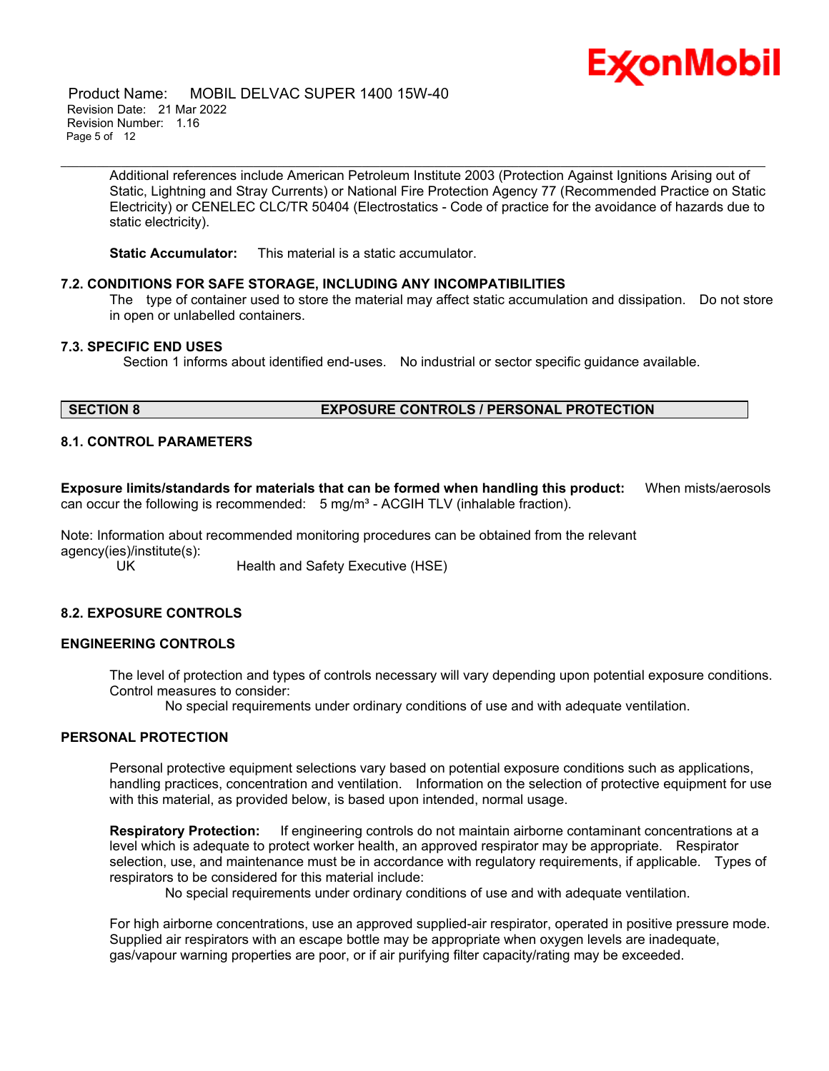

 Product Name: MOBIL DELVAC SUPER 1400 15W-40 Revision Date: 21 Mar 2022 Revision Number: 1.16 Page 5 of 12

> Additional references include American Petroleum Institute 2003 (Protection Against Ignitions Arising out of Static, Lightning and Stray Currents) or National Fire Protection Agency 77 (Recommended Practice on Static Electricity) or CENELEC CLC/TR 50404 (Electrostatics - Code of practice for the avoidance of hazards due to static electricity).

\_\_\_\_\_\_\_\_\_\_\_\_\_\_\_\_\_\_\_\_\_\_\_\_\_\_\_\_\_\_\_\_\_\_\_\_\_\_\_\_\_\_\_\_\_\_\_\_\_\_\_\_\_\_\_\_\_\_\_\_\_\_\_\_\_\_\_\_\_\_\_\_\_\_\_\_\_\_\_\_\_\_\_\_\_\_\_\_\_\_\_\_\_\_\_\_\_\_\_\_\_\_\_\_\_\_\_\_\_\_\_\_\_\_\_\_\_

**Static Accumulator:** This material is a static accumulator.

#### **7.2. CONDITIONS FOR SAFE STORAGE, INCLUDING ANY INCOMPATIBILITIES**

The type of container used to store the material may affect static accumulation and dissipation. Do not store in open or unlabelled containers.

#### **7.3. SPECIFIC END USES**

Section 1 informs about identified end-uses. No industrial or sector specific guidance available.

# **SECTION 8 EXPOSURE CONTROLS / PERSONAL PROTECTION**

# **8.1. CONTROL PARAMETERS**

**Exposure limits/standards for materials that can be formed when handling this product:** When mists/aerosols can occur the following is recommended:  $5 \text{ mg/m}^3$  - ACGIH TLV (inhalable fraction).

Note: Information about recommended monitoring procedures can be obtained from the relevant agency(ies)/institute(s):

Health and Safety Executive (HSE)

# **8.2. EXPOSURE CONTROLS**

# **ENGINEERING CONTROLS**

The level of protection and types of controls necessary will vary depending upon potential exposure conditions. Control measures to consider:

No special requirements under ordinary conditions of use and with adequate ventilation.

# **PERSONAL PROTECTION**

Personal protective equipment selections vary based on potential exposure conditions such as applications, handling practices, concentration and ventilation. Information on the selection of protective equipment for use with this material, as provided below, is based upon intended, normal usage.

**Respiratory Protection:** If engineering controls do not maintain airborne contaminant concentrations at a level which is adequate to protect worker health, an approved respirator may be appropriate. Respirator selection, use, and maintenance must be in accordance with regulatory requirements, if applicable. Types of respirators to be considered for this material include:

No special requirements under ordinary conditions of use and with adequate ventilation.

For high airborne concentrations, use an approved supplied-air respirator, operated in positive pressure mode. Supplied air respirators with an escape bottle may be appropriate when oxygen levels are inadequate, gas/vapour warning properties are poor, or if air purifying filter capacity/rating may be exceeded.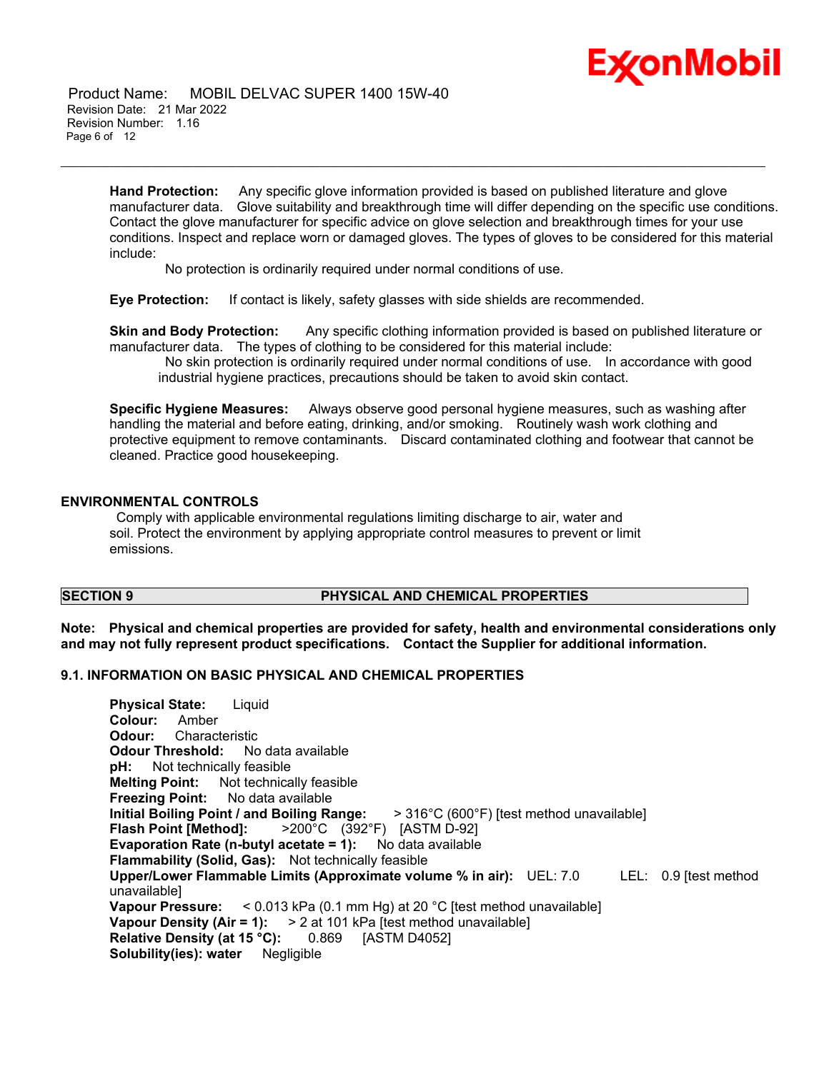

 Product Name: MOBIL DELVAC SUPER 1400 15W-40 Revision Date: 21 Mar 2022 Revision Number: 1.16 Page 6 of 12

> **Hand Protection:** Any specific glove information provided is based on published literature and glove manufacturer data. Glove suitability and breakthrough time will differ depending on the specific use conditions. Contact the glove manufacturer for specific advice on glove selection and breakthrough times for your use conditions. Inspect and replace worn or damaged gloves. The types of gloves to be considered for this material include:

\_\_\_\_\_\_\_\_\_\_\_\_\_\_\_\_\_\_\_\_\_\_\_\_\_\_\_\_\_\_\_\_\_\_\_\_\_\_\_\_\_\_\_\_\_\_\_\_\_\_\_\_\_\_\_\_\_\_\_\_\_\_\_\_\_\_\_\_\_\_\_\_\_\_\_\_\_\_\_\_\_\_\_\_\_\_\_\_\_\_\_\_\_\_\_\_\_\_\_\_\_\_\_\_\_\_\_\_\_\_\_\_\_\_\_\_\_

No protection is ordinarily required under normal conditions of use.

**Eye Protection:** If contact is likely, safety glasses with side shields are recommended.

**Skin and Body Protection:** Any specific clothing information provided is based on published literature or manufacturer data. The types of clothing to be considered for this material include:

No skin protection is ordinarily required under normal conditions of use. In accordance with good industrial hygiene practices, precautions should be taken to avoid skin contact.

**Specific Hygiene Measures:** Always observe good personal hygiene measures, such as washing after handling the material and before eating, drinking, and/or smoking. Routinely wash work clothing and protective equipment to remove contaminants. Discard contaminated clothing and footwear that cannot be cleaned. Practice good housekeeping.

# **ENVIRONMENTAL CONTROLS**

Comply with applicable environmental regulations limiting discharge to air, water and soil. Protect the environment by applying appropriate control measures to prevent or limit emissions.

# **SECTION 9 PHYSICAL AND CHEMICAL PROPERTIES**

**Note: Physical and chemical properties are provided for safety, health and environmental considerations only and may not fully represent product specifications. Contact the Supplier for additional information.**

# **9.1. INFORMATION ON BASIC PHYSICAL AND CHEMICAL PROPERTIES**

**Physical State:** Liquid **Colour:** Amber **Odour:** Characteristic **Odour Threshold:** No data available **pH:** Not technically feasible **Melting Point:** Not technically feasible **Freezing Point:** No data available **Initial Boiling Point / and Boiling Range:** > 316°C (600°F) [test method unavailable] **Flash Point [Method]:** >200°C (392°F) [ASTM D-92] **Evaporation Rate (n-butyl acetate = 1):** No data available **Flammability (Solid, Gas):** Not technically feasible **Upper/Lower Flammable Limits (Approximate volume % in air):** UEL: 7.0 LEL: 0.9 [test method unavailable] **Vapour Pressure:** < 0.013 kPa (0.1 mm Hg) at 20 °C [test method unavailable] **Vapour Density (Air = 1):** > 2 at 101 kPa [test method unavailable] **Relative Density (at 15 °C):** 0.869 [ASTM D4052] **Solubility(ies): water** Negligible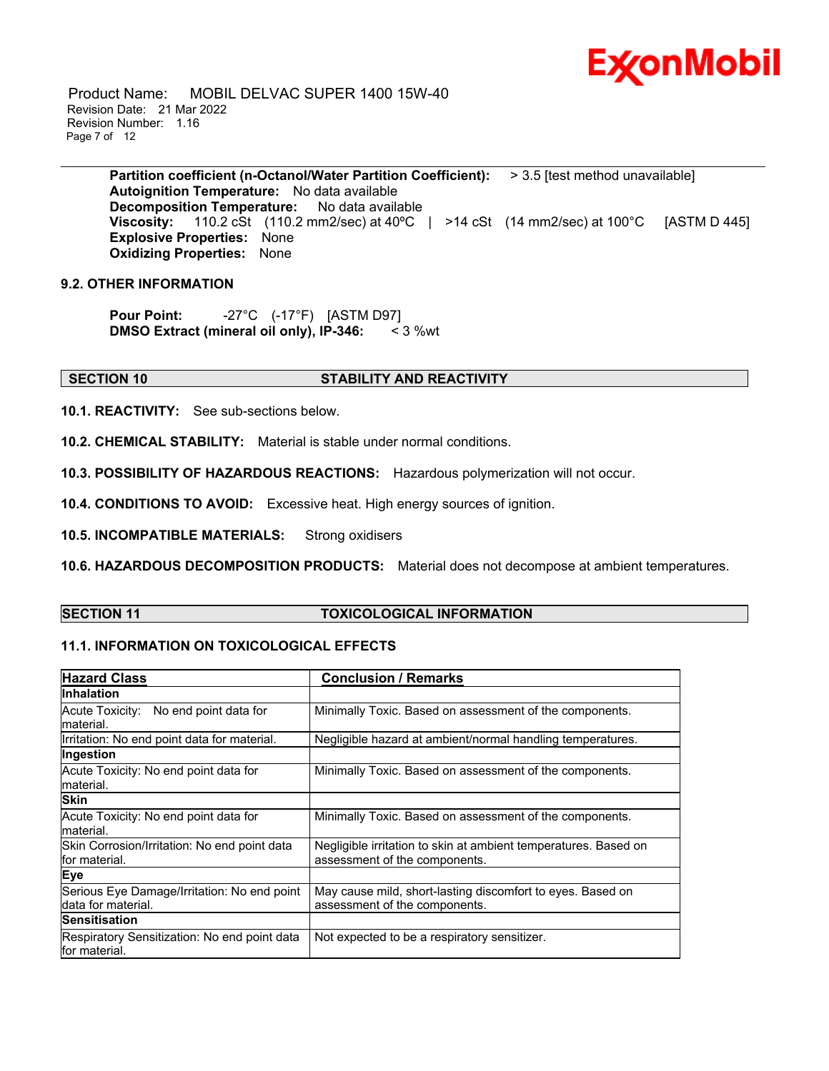

 Product Name: MOBIL DELVAC SUPER 1400 15W-40 Revision Date: 21 Mar 2022 Revision Number: 1.16 Page 7 of 12

> **Partition coefficient (n-Octanol/Water Partition Coefficient):** > 3.5 [test method unavailable] **Autoignition Temperature:** No data available **Decomposition Temperature:** No data available **Viscosity:** 110.2 cSt (110.2 mm2/sec) at 40°C | >14 cSt (14 mm2/sec) at 100°C [ASTM D 445] **Explosive Properties:** None **Oxidizing Properties:** None

\_\_\_\_\_\_\_\_\_\_\_\_\_\_\_\_\_\_\_\_\_\_\_\_\_\_\_\_\_\_\_\_\_\_\_\_\_\_\_\_\_\_\_\_\_\_\_\_\_\_\_\_\_\_\_\_\_\_\_\_\_\_\_\_\_\_\_\_\_\_\_\_\_\_\_\_\_\_\_\_\_\_\_\_\_\_\_\_\_\_\_\_\_\_\_\_\_\_\_\_\_\_\_\_\_\_\_\_\_\_\_\_\_\_\_\_\_

# **9.2. OTHER INFORMATION**

**Pour Point:** -27°C (-17°F) [ASTM D97] **DMSO Extract (mineral oil only), IP-346:** < 3 %wt

# **SECTION 10 STABILITY AND REACTIVITY**

**10.1. REACTIVITY:** See sub-sections below.

**10.2. CHEMICAL STABILITY:** Material is stable under normal conditions.

**10.3. POSSIBILITY OF HAZARDOUS REACTIONS:** Hazardous polymerization will not occur.

**10.4. CONDITIONS TO AVOID:** Excessive heat. High energy sources of ignition.

**10.5. INCOMPATIBLE MATERIALS:** Strong oxidisers

**10.6. HAZARDOUS DECOMPOSITION PRODUCTS:** Material does not decompose at ambient temperatures.

# **SECTION 11 TOXICOLOGICAL INFORMATION**

# **11.1. INFORMATION ON TOXICOLOGICAL EFFECTS**

| <b>Hazard Class</b>                                                | <b>Conclusion / Remarks</b>                                                                      |  |
|--------------------------------------------------------------------|--------------------------------------------------------------------------------------------------|--|
| <b>Inhalation</b>                                                  |                                                                                                  |  |
| No end point data for<br>Acute Toxicity:<br>lmaterial.             | Minimally Toxic. Based on assessment of the components.                                          |  |
| Irritation: No end point data for material.                        | Negligible hazard at ambient/normal handling temperatures.                                       |  |
| Ingestion                                                          |                                                                                                  |  |
| Acute Toxicity: No end point data for<br>lmaterial.                | Minimally Toxic. Based on assessment of the components.                                          |  |
| <b>Skin</b>                                                        |                                                                                                  |  |
| Acute Toxicity: No end point data for<br>material.                 | Minimally Toxic. Based on assessment of the components.                                          |  |
| Skin Corrosion/Irritation: No end point data<br>lfor material.     | Negligible irritation to skin at ambient temperatures. Based on<br>assessment of the components. |  |
| Eye                                                                |                                                                                                  |  |
| Serious Eye Damage/Irritation: No end point<br>Idata for material. | May cause mild, short-lasting discomfort to eyes. Based on<br>assessment of the components.      |  |
| <b>Sensitisation</b>                                               |                                                                                                  |  |
| Respiratory Sensitization: No end point data<br>lfor material.     | Not expected to be a respiratory sensitizer.                                                     |  |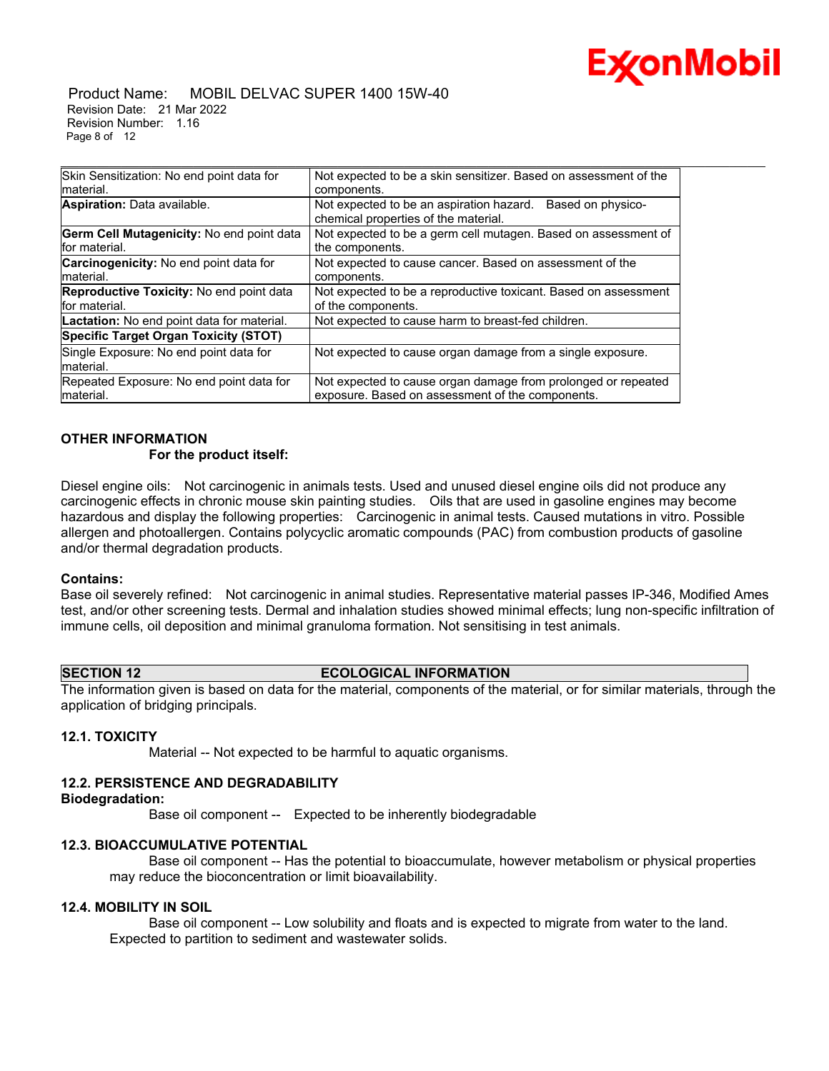

#### Product Name: MOBIL DELVAC SUPER 1400 15W-40 Revision Date: 21 Mar 2022 Revision Number: 1.16 Page 8 of 12

| Skin Sensitization: No end point data for                        | Not expected to be a skin sensitizer. Based on assessment of the                                                  |
|------------------------------------------------------------------|-------------------------------------------------------------------------------------------------------------------|
| material.                                                        | components.                                                                                                       |
| Aspiration: Data available.                                      | Not expected to be an aspiration hazard.<br>Based on physico-<br>chemical properties of the material.             |
| Germ Cell Mutagenicity: No end point data<br>for material.       | Not expected to be a germ cell mutagen. Based on assessment of<br>the components.                                 |
| Carcinogenicity: No end point data for<br>material.              | Not expected to cause cancer. Based on assessment of the<br>components.                                           |
| <b>Reproductive Toxicity: No end point data</b><br>for material. | Not expected to be a reproductive toxicant. Based on assessment<br>of the components.                             |
| <b>Lactation:</b> No end point data for material.                | Not expected to cause harm to breast-fed children.                                                                |
| Specific Target Organ Toxicity (STOT)                            |                                                                                                                   |
| Single Exposure: No end point data for<br>material.              | Not expected to cause organ damage from a single exposure.                                                        |
| Repeated Exposure: No end point data for<br>Imaterial.           | Not expected to cause organ damage from prolonged or repeated<br>exposure. Based on assessment of the components. |

\_\_\_\_\_\_\_\_\_\_\_\_\_\_\_\_\_\_\_\_\_\_\_\_\_\_\_\_\_\_\_\_\_\_\_\_\_\_\_\_\_\_\_\_\_\_\_\_\_\_\_\_\_\_\_\_\_\_\_\_\_\_\_\_\_\_\_\_\_\_\_\_\_\_\_\_\_\_\_\_\_\_\_\_\_\_\_\_\_\_\_\_\_\_\_\_\_\_\_\_\_\_\_\_\_\_\_\_\_\_\_\_\_\_\_\_\_

# **OTHER INFORMATION**

# **For the product itself:**

Diesel engine oils: Not carcinogenic in animals tests. Used and unused diesel engine oils did not produce any carcinogenic effects in chronic mouse skin painting studies. Oils that are used in gasoline engines may become hazardous and display the following properties: Carcinogenic in animal tests. Caused mutations in vitro. Possible allergen and photoallergen. Contains polycyclic aromatic compounds (PAC) from combustion products of gasoline and/or thermal degradation products.

# **Contains:**

Base oil severely refined: Not carcinogenic in animal studies. Representative material passes IP-346, Modified Ames test, and/or other screening tests. Dermal and inhalation studies showed minimal effects; lung non-specific infiltration of immune cells, oil deposition and minimal granuloma formation. Not sensitising in test animals.

# **SECTION 12 ECOLOGICAL INFORMATION**

The information given is based on data for the material, components of the material, or for similar materials, through the application of bridging principals.

# **12.1. TOXICITY**

Material -- Not expected to be harmful to aquatic organisms.

# **12.2. PERSISTENCE AND DEGRADABILITY**

#### **Biodegradation:**

Base oil component -- Expected to be inherently biodegradable

# **12.3. BIOACCUMULATIVE POTENTIAL**

 Base oil component -- Has the potential to bioaccumulate, however metabolism or physical properties may reduce the bioconcentration or limit bioavailability.

# **12.4. MOBILITY IN SOIL**

 Base oil component -- Low solubility and floats and is expected to migrate from water to the land. Expected to partition to sediment and wastewater solids.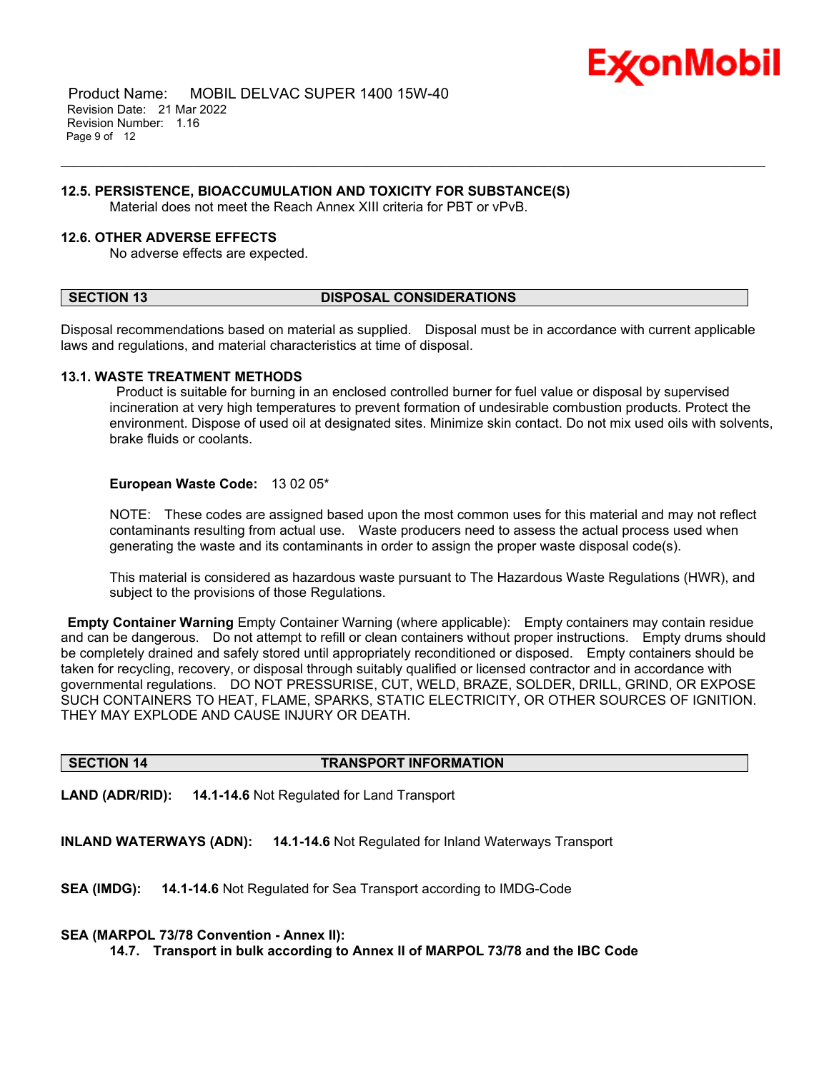

 Product Name: MOBIL DELVAC SUPER 1400 15W-40 Revision Date: 21 Mar 2022 Revision Number: 1.16 Page 9 of 12

#### **12.5. PERSISTENCE, BIOACCUMULATION AND TOXICITY FOR SUBSTANCE(S)**

Material does not meet the Reach Annex XIII criteria for PBT or vPvB.

# **12.6. OTHER ADVERSE EFFECTS**

No adverse effects are expected.

#### **SECTION 13 DISPOSAL CONSIDERATIONS**

Disposal recommendations based on material as supplied. Disposal must be in accordance with current applicable laws and regulations, and material characteristics at time of disposal.

\_\_\_\_\_\_\_\_\_\_\_\_\_\_\_\_\_\_\_\_\_\_\_\_\_\_\_\_\_\_\_\_\_\_\_\_\_\_\_\_\_\_\_\_\_\_\_\_\_\_\_\_\_\_\_\_\_\_\_\_\_\_\_\_\_\_\_\_\_\_\_\_\_\_\_\_\_\_\_\_\_\_\_\_\_\_\_\_\_\_\_\_\_\_\_\_\_\_\_\_\_\_\_\_\_\_\_\_\_\_\_\_\_\_\_\_\_

#### **13.1. WASTE TREATMENT METHODS**

Product is suitable for burning in an enclosed controlled burner for fuel value or disposal by supervised incineration at very high temperatures to prevent formation of undesirable combustion products. Protect the environment. Dispose of used oil at designated sites. Minimize skin contact. Do not mix used oils with solvents, brake fluids or coolants.

#### **European Waste Code:** 13 02 05\*

NOTE: These codes are assigned based upon the most common uses for this material and may not reflect contaminants resulting from actual use. Waste producers need to assess the actual process used when generating the waste and its contaminants in order to assign the proper waste disposal code(s).

This material is considered as hazardous waste pursuant to The Hazardous Waste Regulations (HWR), and subject to the provisions of those Regulations.

**Empty Container Warning** Empty Container Warning (where applicable): Empty containers may contain residue and can be dangerous. Do not attempt to refill or clean containers without proper instructions. Empty drums should be completely drained and safely stored until appropriately reconditioned or disposed. Empty containers should be taken for recycling, recovery, or disposal through suitably qualified or licensed contractor and in accordance with governmental regulations. DO NOT PRESSURISE, CUT, WELD, BRAZE, SOLDER, DRILL, GRIND, OR EXPOSE SUCH CONTAINERS TO HEAT, FLAME, SPARKS, STATIC ELECTRICITY, OR OTHER SOURCES OF IGNITION. THEY MAY EXPLODE AND CAUSE INJURY OR DEATH.

# **SECTION 14 TRANSPORT INFORMATION**

**LAND (ADR/RID): 14.1-14.6** Not Regulated for Land Transport

**INLAND WATERWAYS (ADN): 14.1-14.6** Not Regulated for Inland Waterways Transport

**SEA (IMDG): 14.1-14.6** Not Regulated for Sea Transport according to IMDG-Code

#### **SEA (MARPOL 73/78 Convention - Annex II):**

**14.7. Transport in bulk according to Annex II of MARPOL 73/78 and the IBC Code**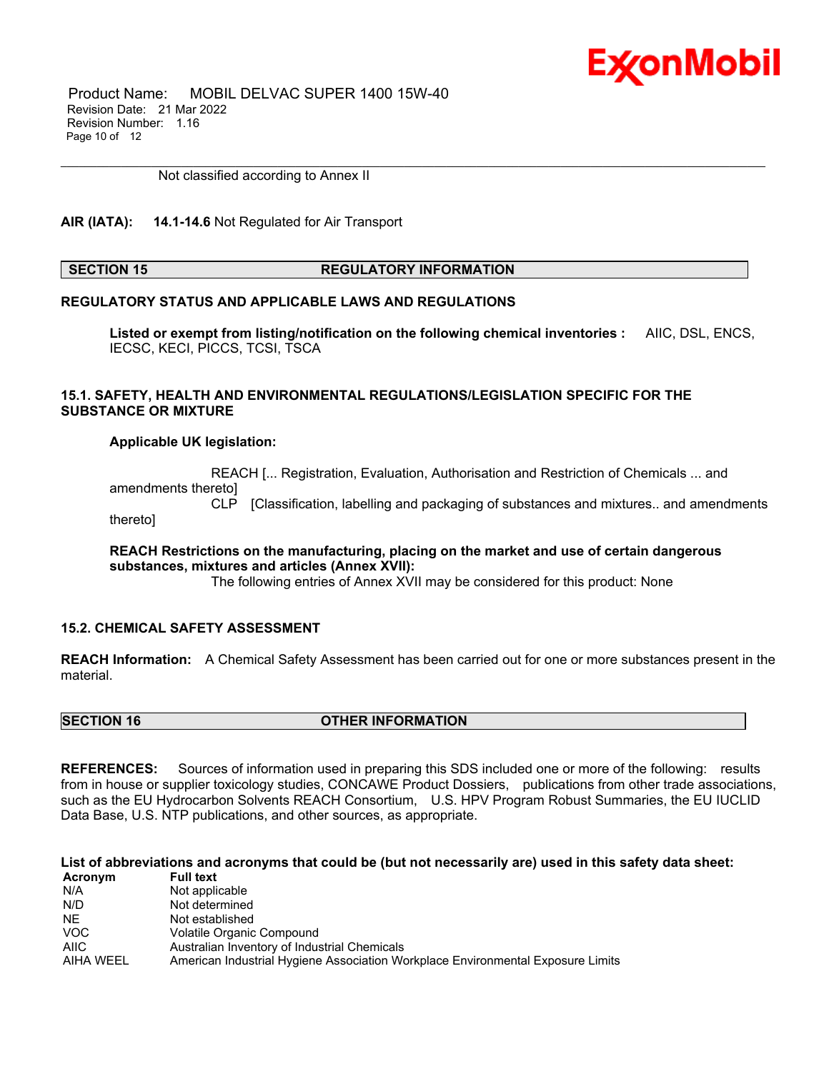

 Product Name: MOBIL DELVAC SUPER 1400 15W-40 Revision Date: 21 Mar 2022 Revision Number: 1.16 Page 10 of 12

Not classified according to Annex II

# **AIR (IATA): 14.1-14.6** Not Regulated for Air Transport

#### **SECTION 15 REGULATORY INFORMATION**

\_\_\_\_\_\_\_\_\_\_\_\_\_\_\_\_\_\_\_\_\_\_\_\_\_\_\_\_\_\_\_\_\_\_\_\_\_\_\_\_\_\_\_\_\_\_\_\_\_\_\_\_\_\_\_\_\_\_\_\_\_\_\_\_\_\_\_\_\_\_\_\_\_\_\_\_\_\_\_\_\_\_\_\_\_\_\_\_\_\_\_\_\_\_\_\_\_\_\_\_\_\_\_\_\_\_\_\_\_\_\_\_\_\_\_\_\_

# **REGULATORY STATUS AND APPLICABLE LAWS AND REGULATIONS**

**Listed or exempt from listing/notification on the following chemical inventories :** AIIC, DSL, ENCS, IECSC, KECI, PICCS, TCSI, TSCA

# **15.1. SAFETY, HEALTH AND ENVIRONMENTAL REGULATIONS/LEGISLATION SPECIFIC FOR THE SUBSTANCE OR MIXTURE**

#### **Applicable UK legislation:**

 REACH [... Registration, Evaluation, Authorisation and Restriction of Chemicals ... and amendments thereto]

 CLP [Classification, labelling and packaging of substances and mixtures.. and amendments thereto]

**REACH Restrictions on the manufacturing, placing on the market and use of certain dangerous substances, mixtures and articles (Annex XVII):**

The following entries of Annex XVII may be considered for this product: None

# **15.2. CHEMICAL SAFETY ASSESSMENT**

**REACH Information:** A Chemical Safety Assessment has been carried out for one or more substances present in the material.

# **SECTION 16 OTHER INFORMATION**

**REFERENCES:** Sources of information used in preparing this SDS included one or more of the following: results from in house or supplier toxicology studies, CONCAWE Product Dossiers, publications from other trade associations, such as the EU Hydrocarbon Solvents REACH Consortium, U.S. HPV Program Robust Summaries, the EU IUCLID Data Base, U.S. NTP publications, and other sources, as appropriate.

# List of abbreviations and acronyms that could be (but not necessarily are) used in this safety data sheet:

| Acronym   | <b>Full text</b>                                                                |
|-----------|---------------------------------------------------------------------------------|
| N/A       | Not applicable                                                                  |
| N/D       | Not determined                                                                  |
| NE.       | Not established                                                                 |
| VOC.      | Volatile Organic Compound                                                       |
| AIIC      | Australian Inventory of Industrial Chemicals                                    |
| AIHA WEEL | American Industrial Hygiene Association Workplace Environmental Exposure Limits |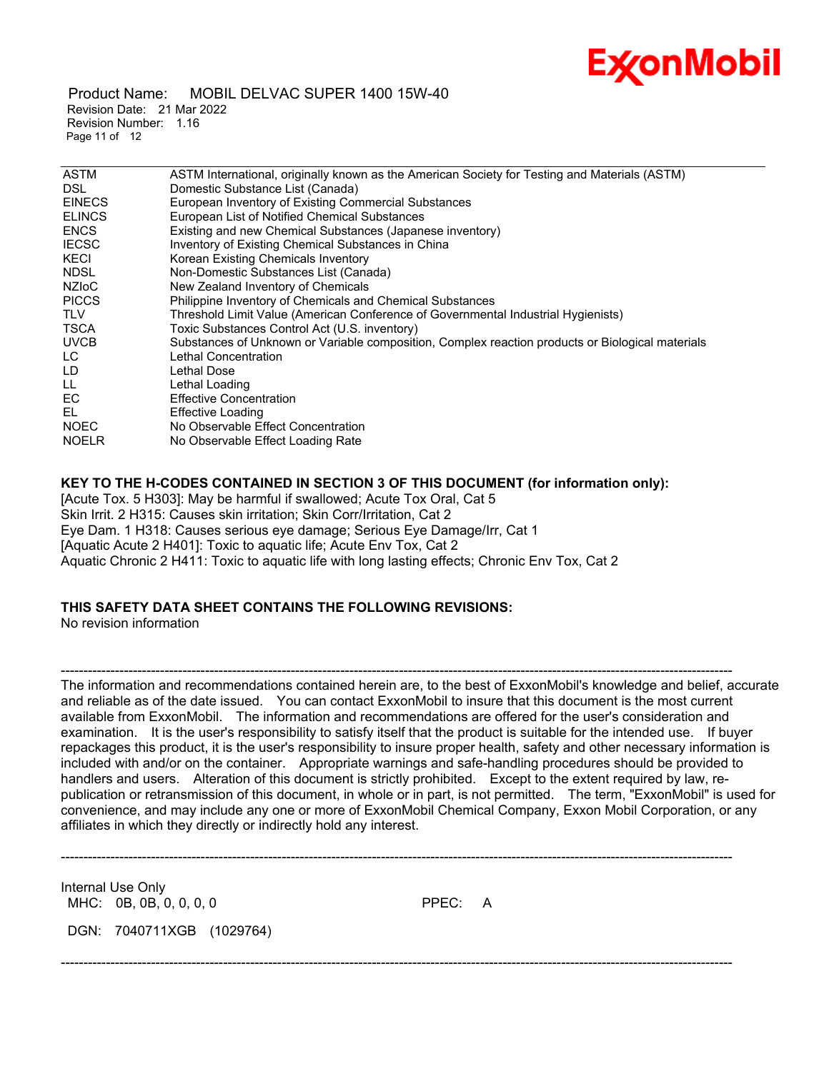

 Product Name: MOBIL DELVAC SUPER 1400 15W-40 Revision Date: 21 Mar 2022 Revision Number: 1.16 Page 11 of 12

| <b>ASTM</b>   | ASTM International, originally known as the American Society for Testing and Materials (ASTM)    |
|---------------|--------------------------------------------------------------------------------------------------|
| <b>DSL</b>    | Domestic Substance List (Canada)                                                                 |
| <b>EINECS</b> | European Inventory of Existing Commercial Substances                                             |
| <b>ELINCS</b> | European List of Notified Chemical Substances                                                    |
| <b>ENCS</b>   | Existing and new Chemical Substances (Japanese inventory)                                        |
| <b>IECSC</b>  | Inventory of Existing Chemical Substances in China                                               |
| KECI          | Korean Existing Chemicals Inventory                                                              |
| <b>NDSL</b>   | Non-Domestic Substances List (Canada)                                                            |
| <b>NZIOC</b>  | New Zealand Inventory of Chemicals                                                               |
| <b>PICCS</b>  | Philippine Inventory of Chemicals and Chemical Substances                                        |
| <b>TLV</b>    | Threshold Limit Value (American Conference of Governmental Industrial Hygienists)                |
| TSCA          | Toxic Substances Control Act (U.S. inventory)                                                    |
| <b>UVCB</b>   | Substances of Unknown or Variable composition, Complex reaction products or Biological materials |
| LC.           | Lethal Concentration                                                                             |
| LD            | Lethal Dose                                                                                      |
| LL            | Lethal Loading                                                                                   |
| EC.           | <b>Effective Concentration</b>                                                                   |
| EL            | Effective Loading                                                                                |
| <b>NOEC</b>   | No Observable Effect Concentration                                                               |
| <b>NOELR</b>  | No Observable Effect Loading Rate                                                                |
|               |                                                                                                  |

# **KEY TO THE H-CODES CONTAINED IN SECTION 3 OF THIS DOCUMENT (for information only):**

[Acute Tox. 5 H303]: May be harmful if swallowed; Acute Tox Oral, Cat 5 Skin Irrit. 2 H315: Causes skin irritation; Skin Corr/Irritation, Cat 2 Eye Dam. 1 H318: Causes serious eye damage; Serious Eye Damage/Irr, Cat 1 [Aquatic Acute 2 H401]: Toxic to aquatic life; Acute Env Tox, Cat 2 Aquatic Chronic 2 H411: Toxic to aquatic life with long lasting effects; Chronic Env Tox, Cat 2

# **THIS SAFETY DATA SHEET CONTAINS THE FOLLOWING REVISIONS:**

No revision information

The information and recommendations contained herein are, to the best of ExxonMobil's knowledge and belief, accurate and reliable as of the date issued. You can contact ExxonMobil to insure that this document is the most current available from ExxonMobil. The information and recommendations are offered for the user's consideration and examination. It is the user's responsibility to satisfy itself that the product is suitable for the intended use. If buyer repackages this product, it is the user's responsibility to insure proper health, safety and other necessary information is included with and/or on the container. Appropriate warnings and safe-handling procedures should be provided to handlers and users. Alteration of this document is strictly prohibited. Except to the extent required by law, republication or retransmission of this document, in whole or in part, is not permitted. The term, "ExxonMobil" is used for convenience, and may include any one or more of ExxonMobil Chemical Company, Exxon Mobil Corporation, or any affiliates in which they directly or indirectly hold any interest.

-----------------------------------------------------------------------------------------------------------------------------------------------------

Internal Use Only MHC: 0B, 0B, 0, 0, 0, 0 0 0 0 PPEC: A

DGN: 7040711XGB (1029764)

-----------------------------------------------------------------------------------------------------------------------------------------------------

-----------------------------------------------------------------------------------------------------------------------------------------------------